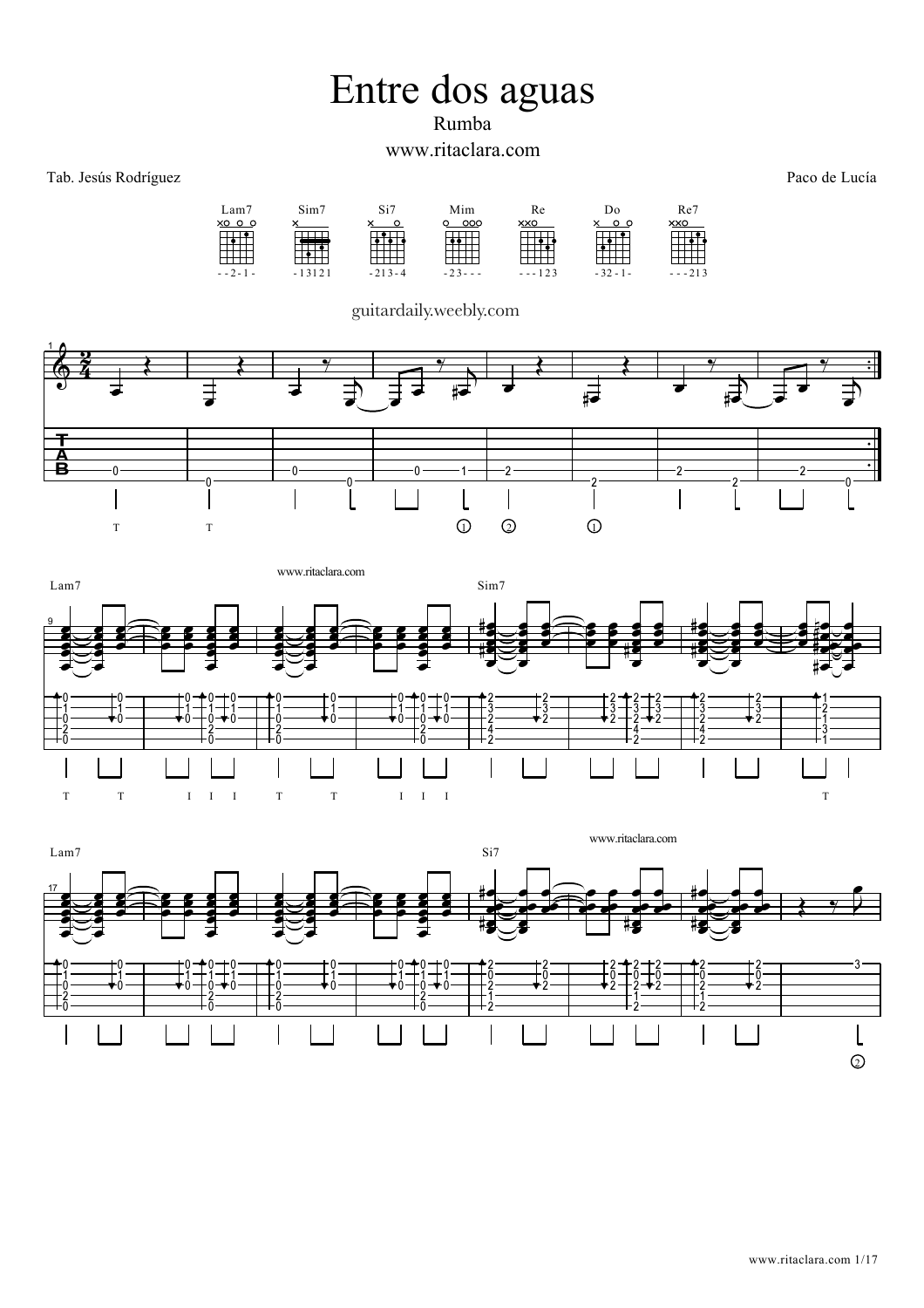## Entre dos aguas

Rumba

www.ritaclara.com

Tab. Jesús Rodríguez



guitardaily.weebly.com







Paco de Lucía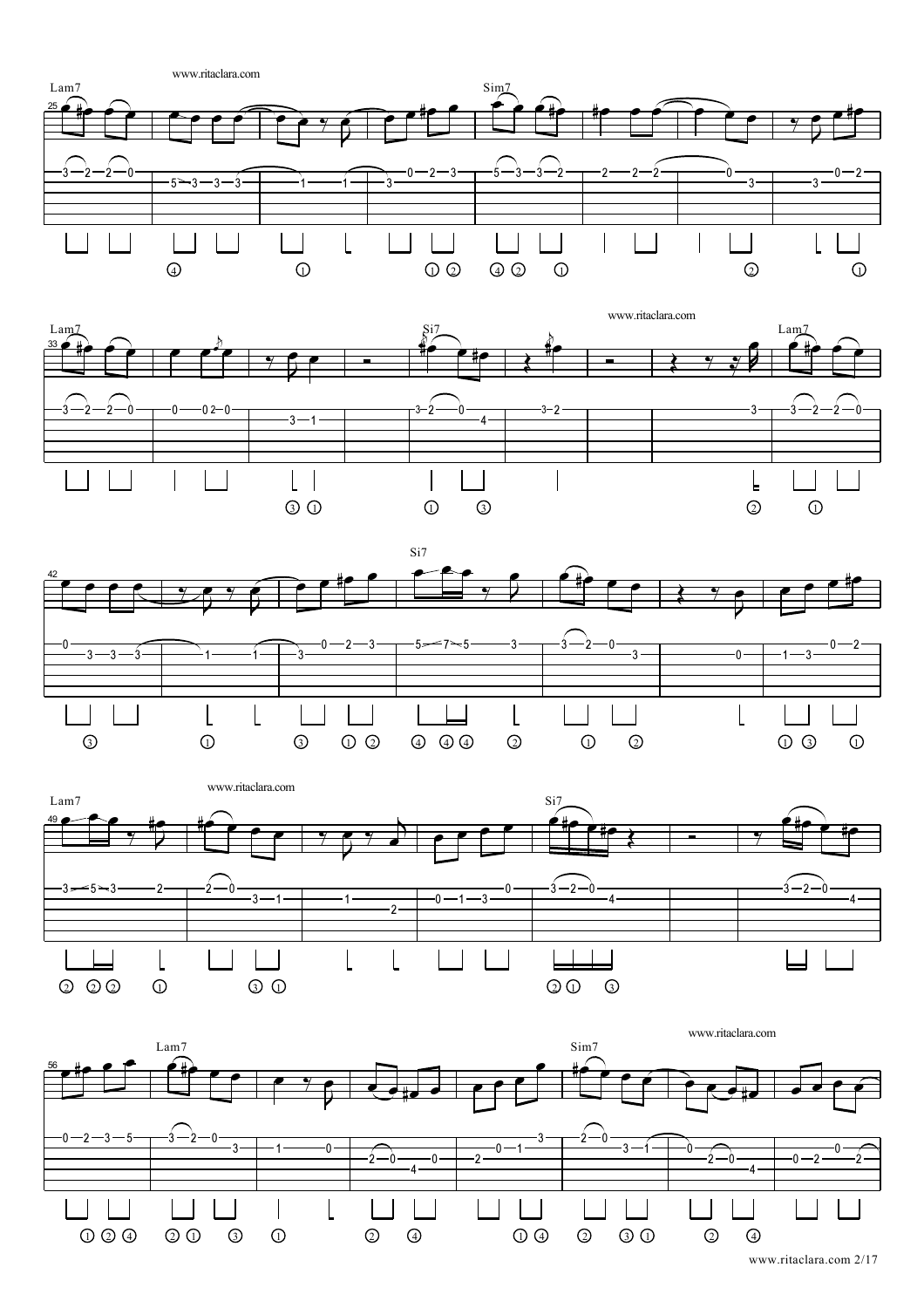









www.ritaclara.com 2/17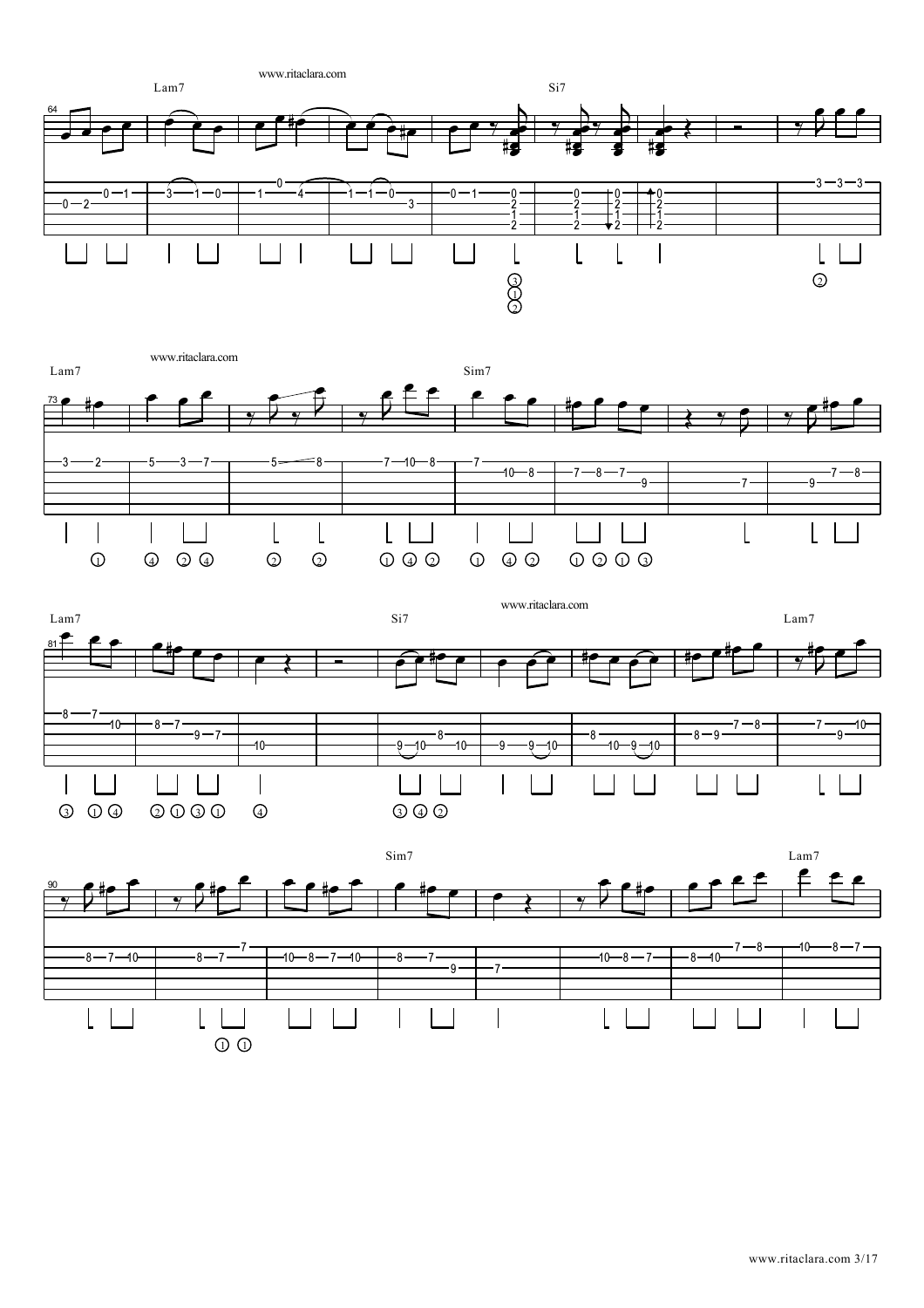







www.ritaclara.com 3/17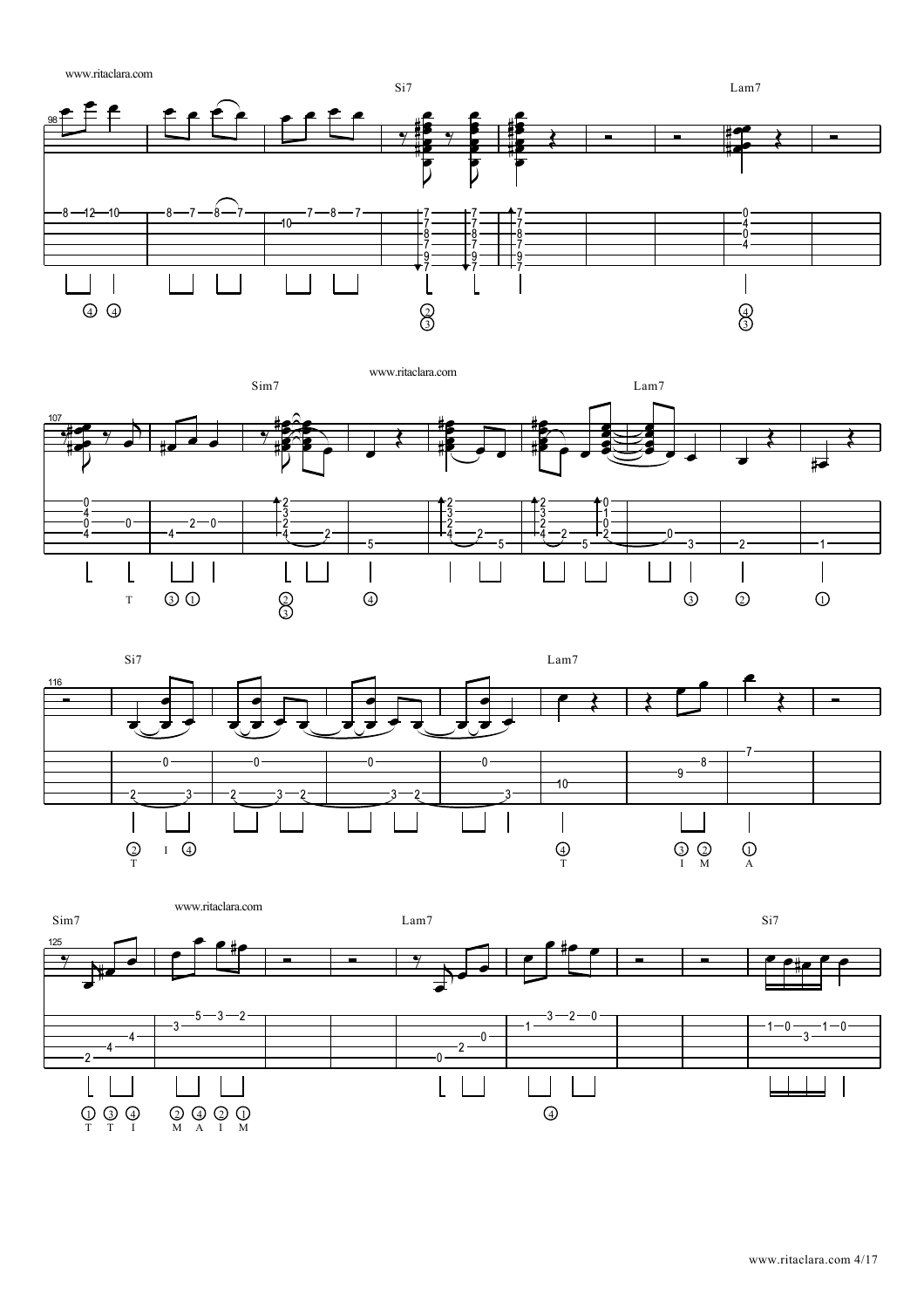www.ritaclara.com









www.ritaclara.com 4/17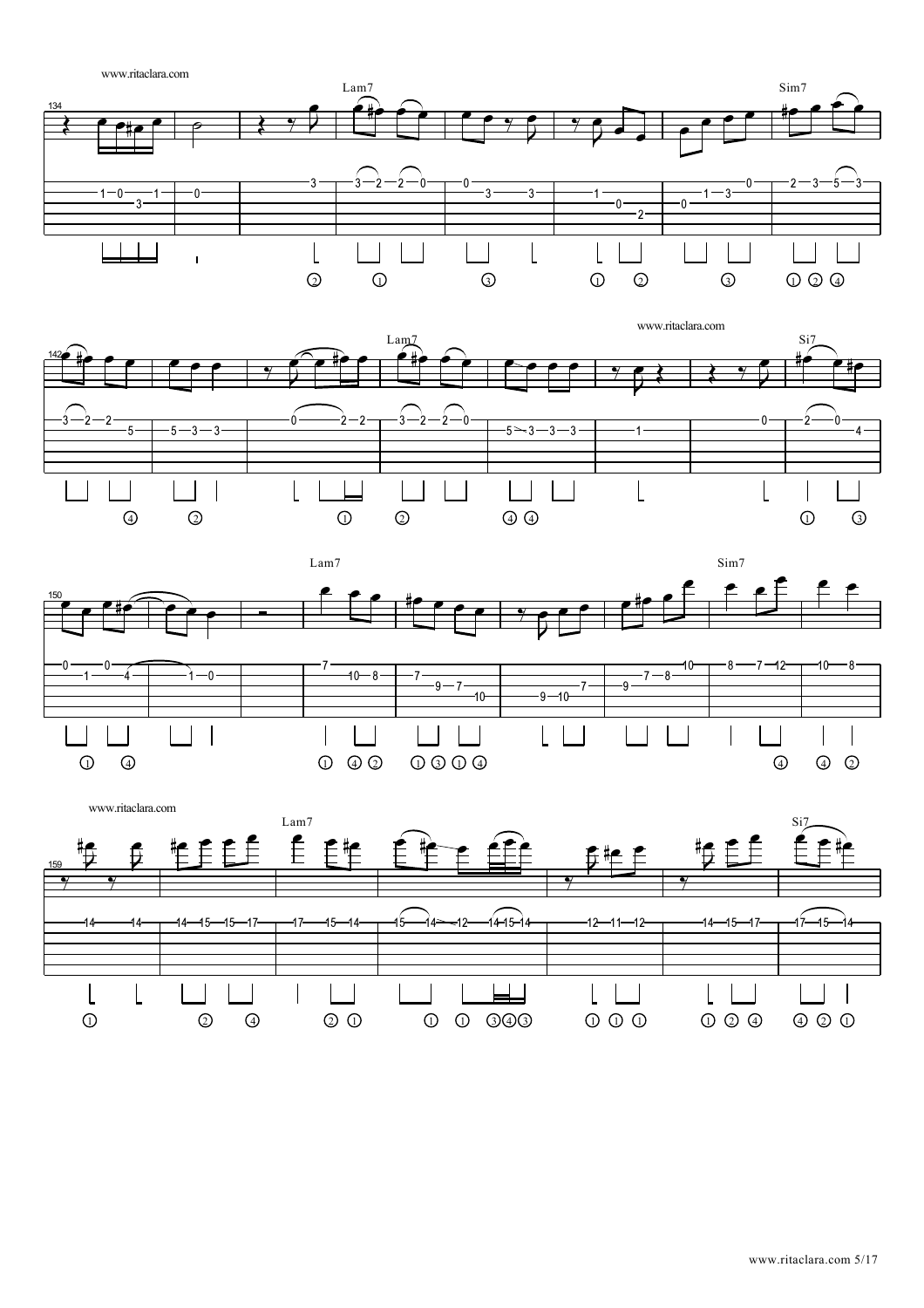





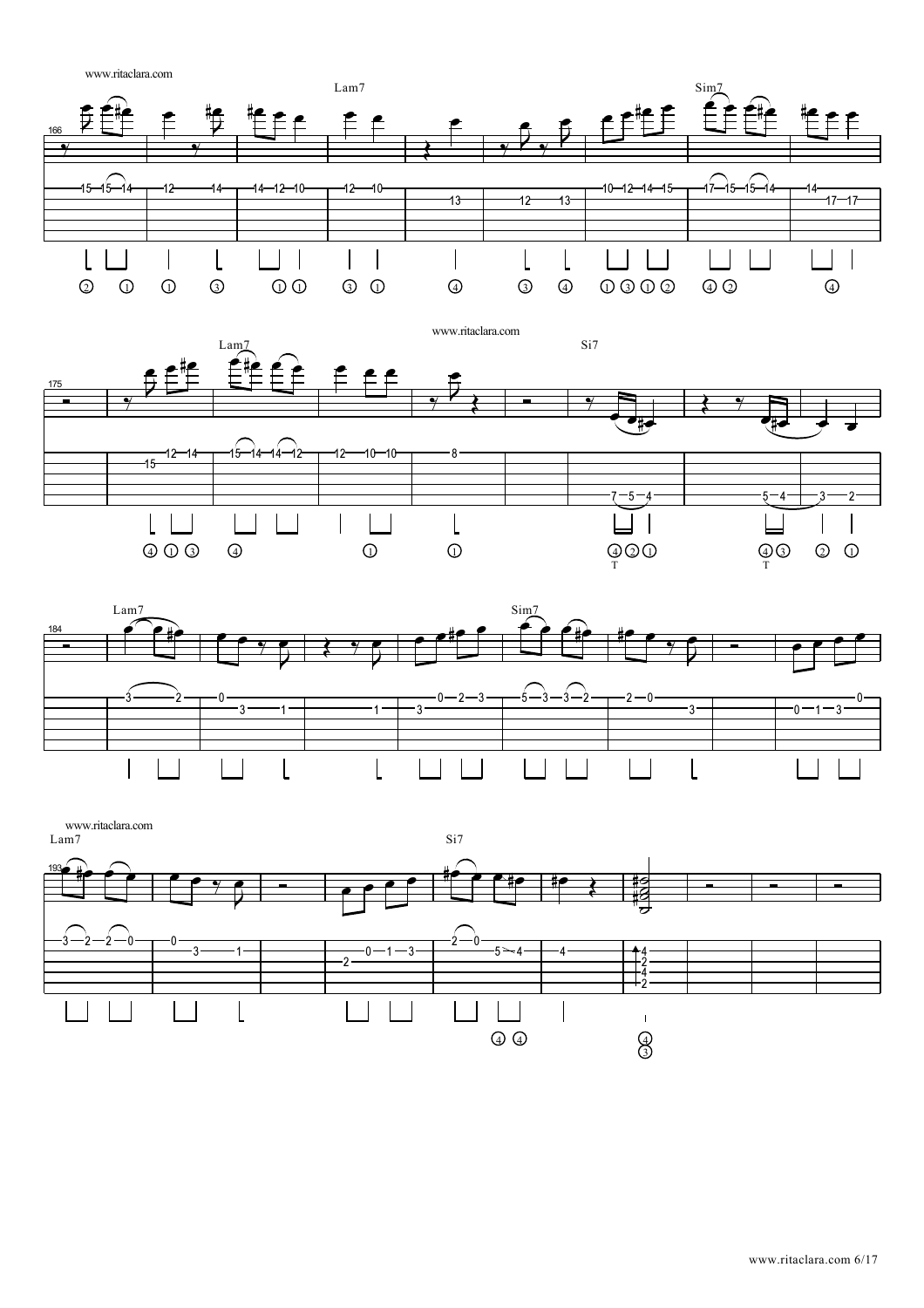





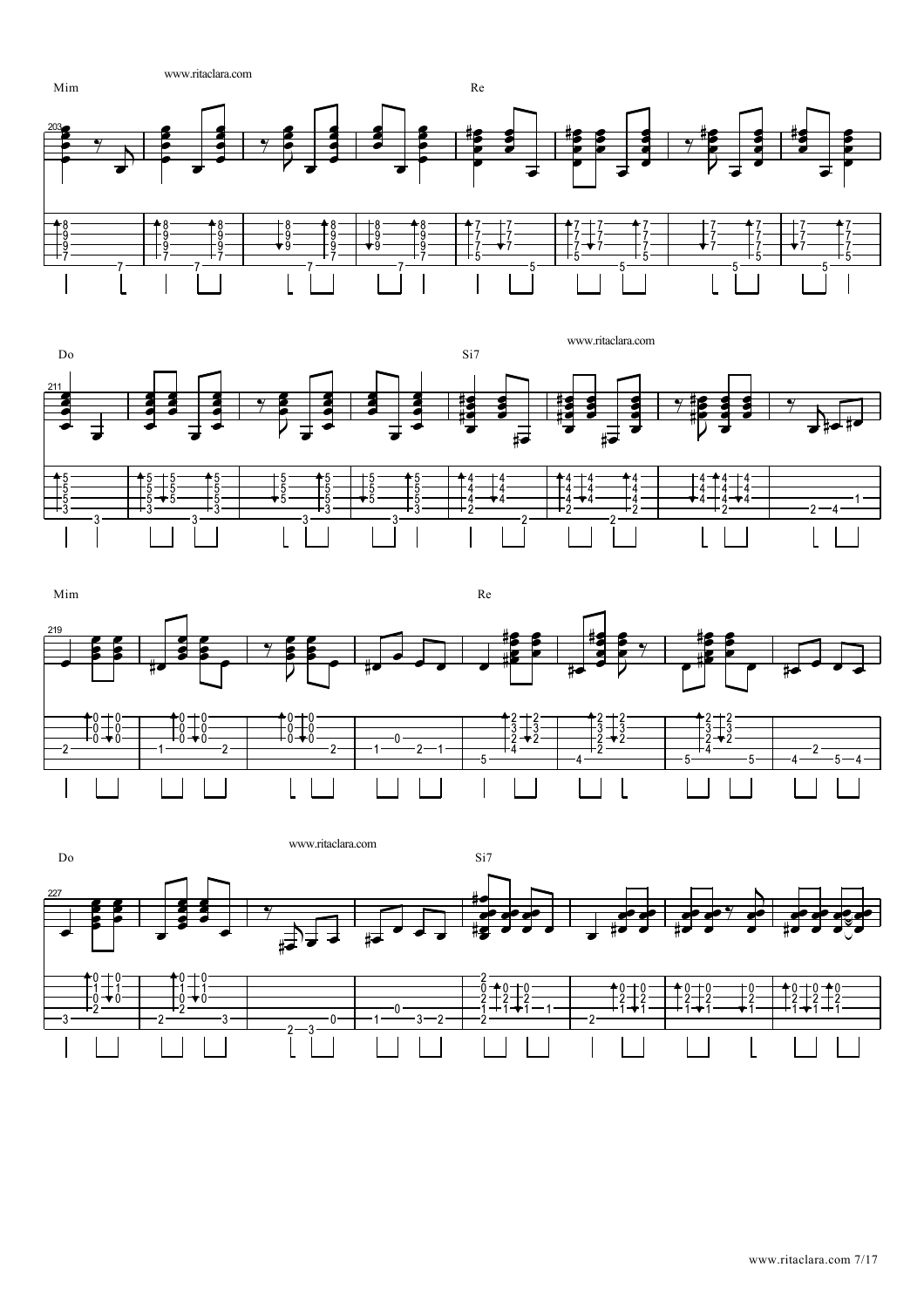www.ritaclara.com







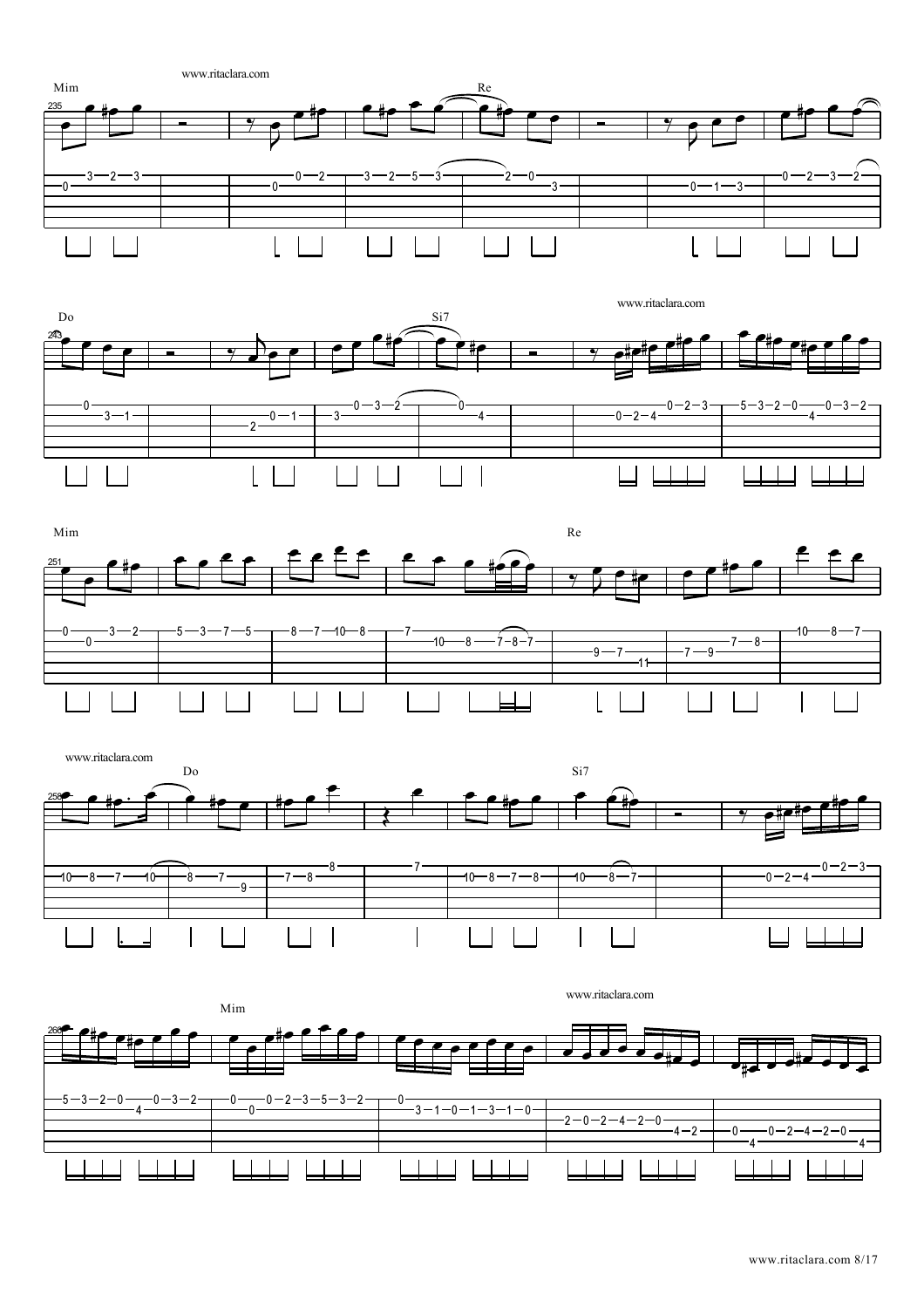







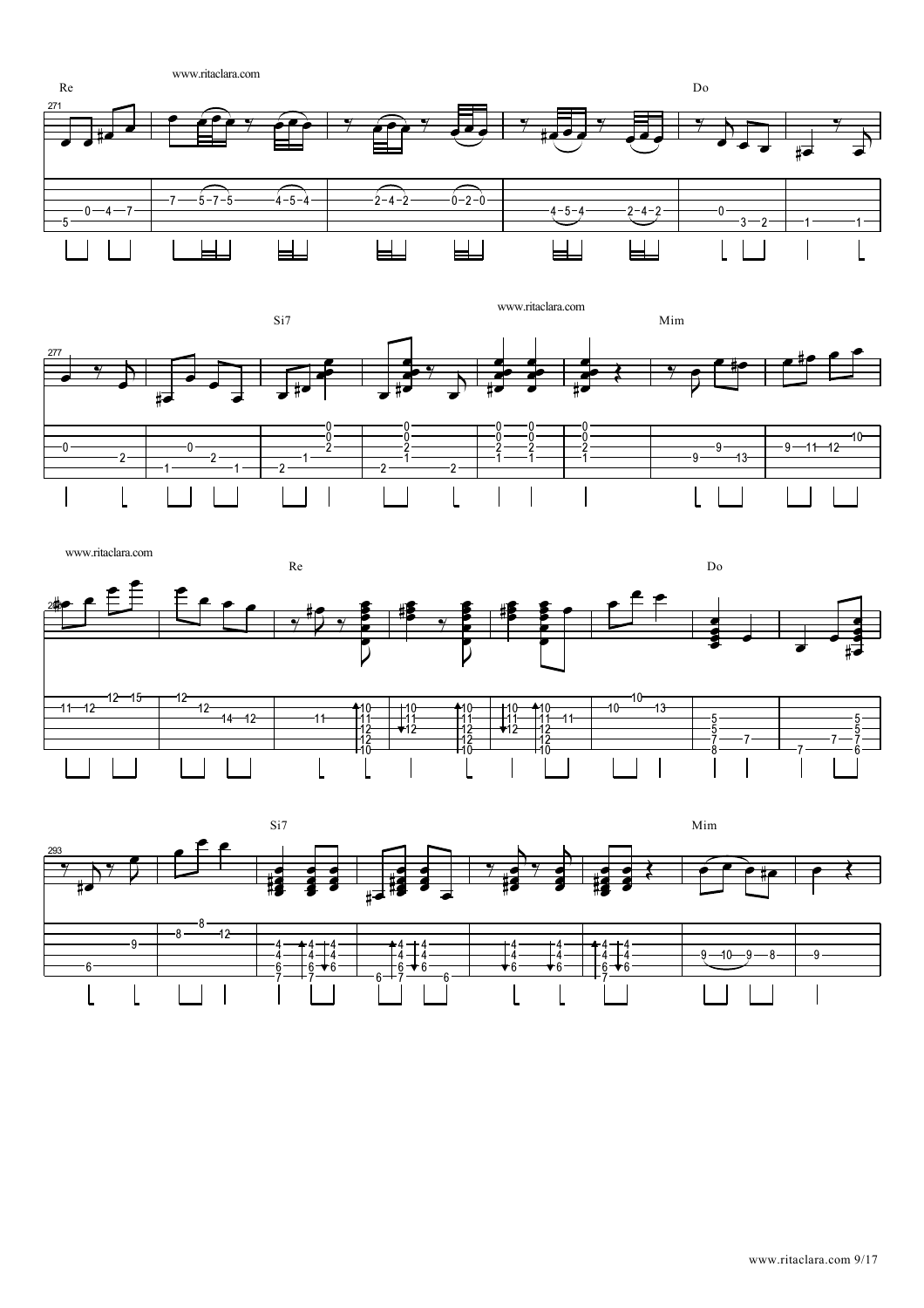





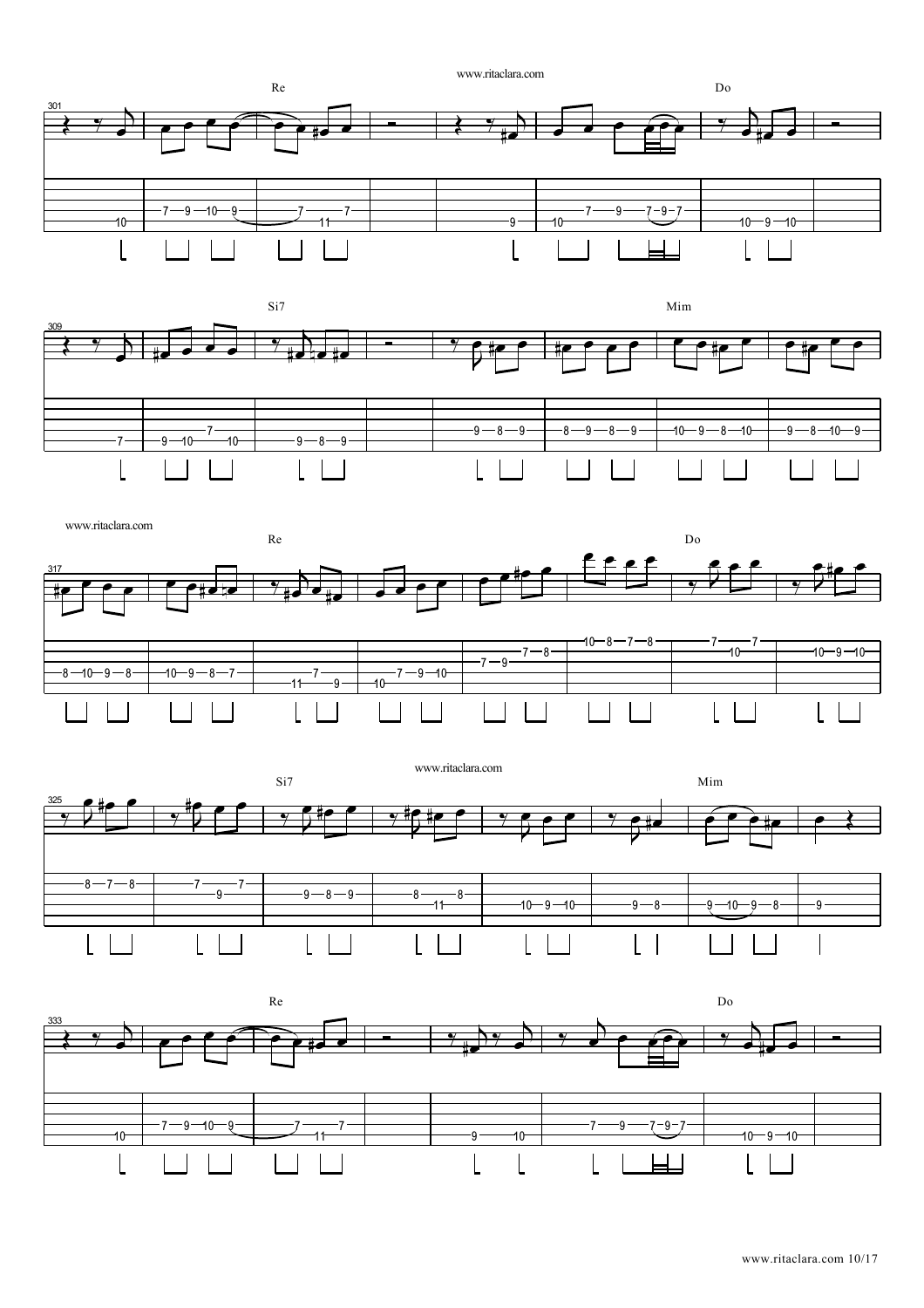







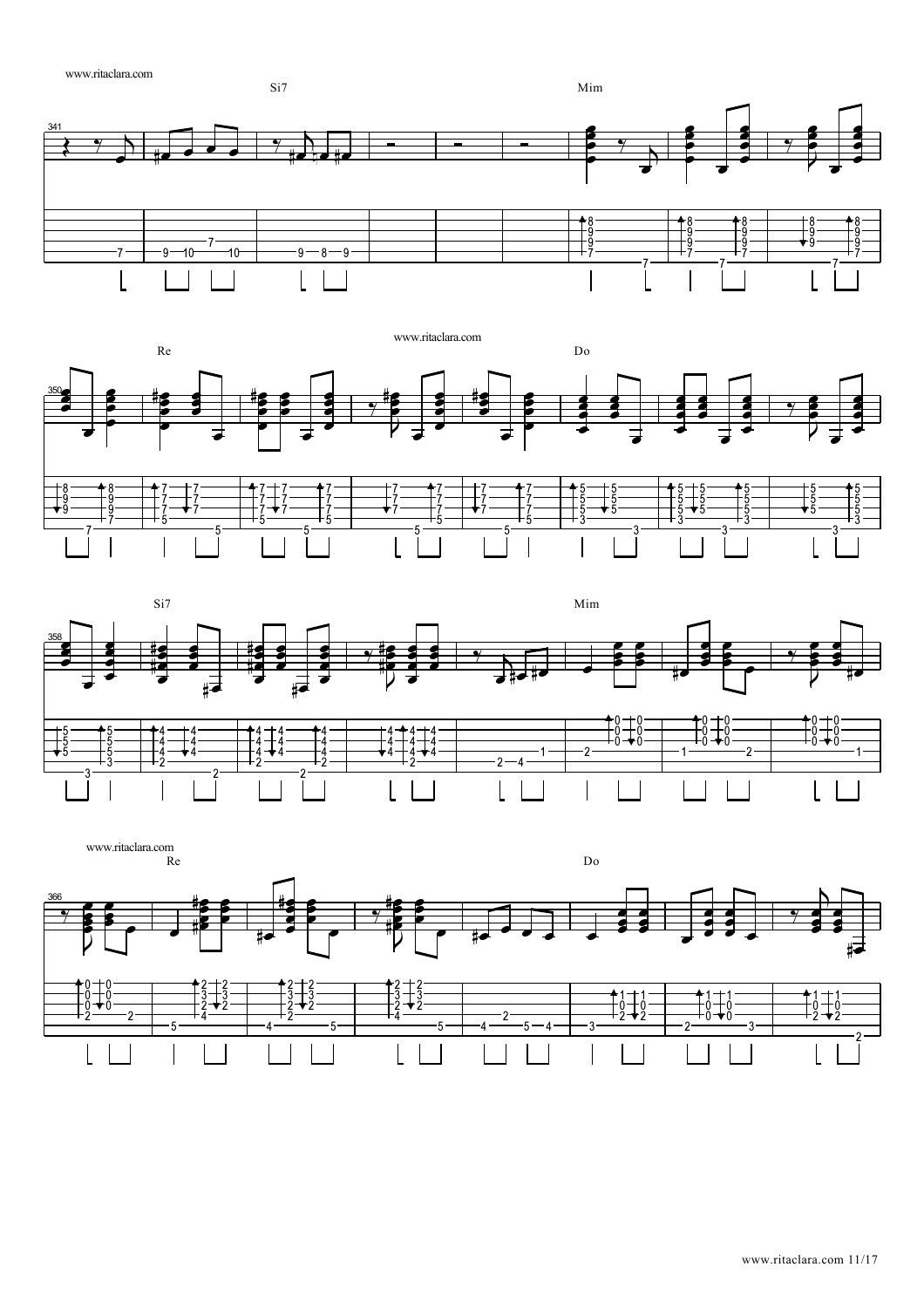









www.ritaclara.com 11/17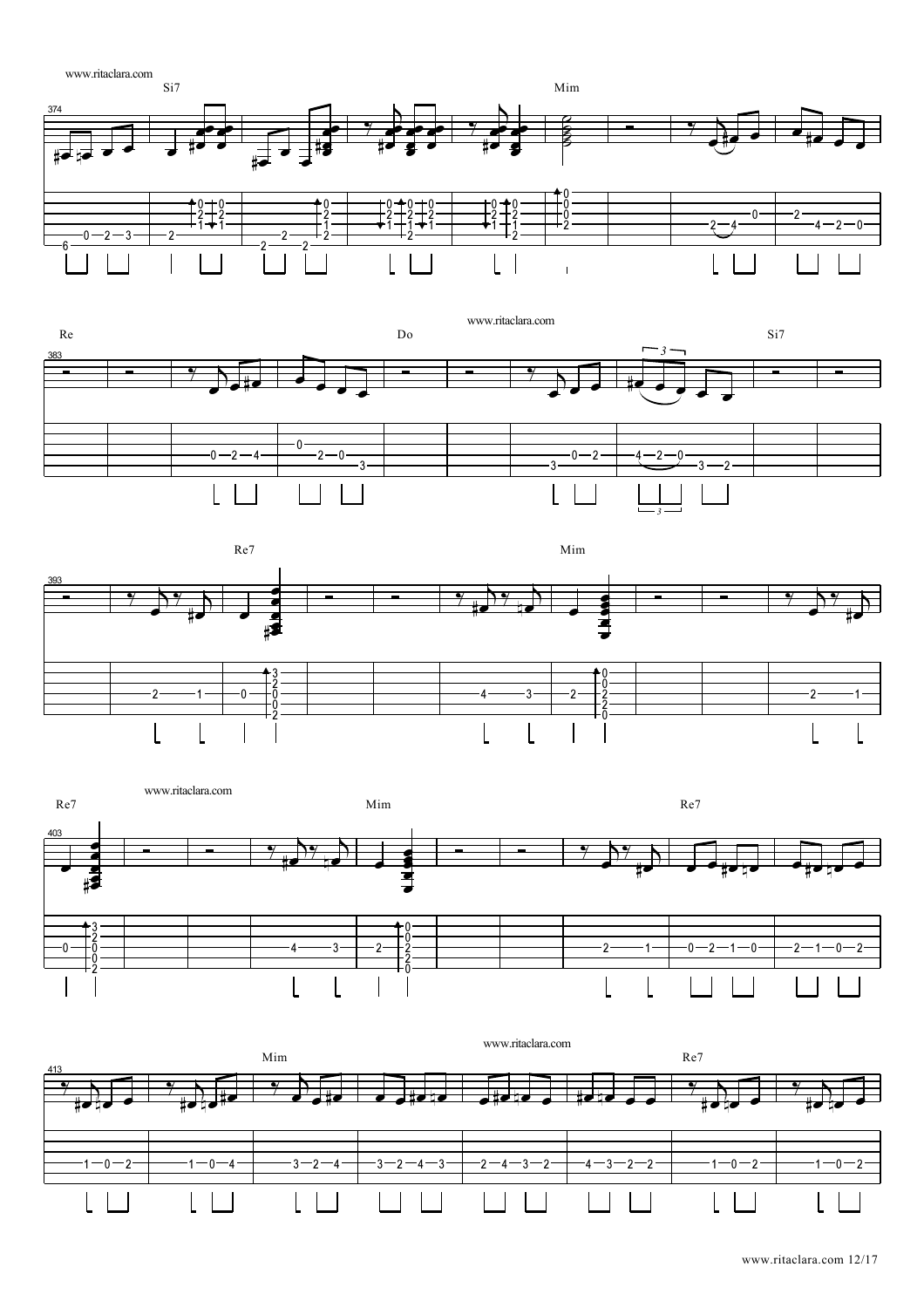www.ritaclara.com









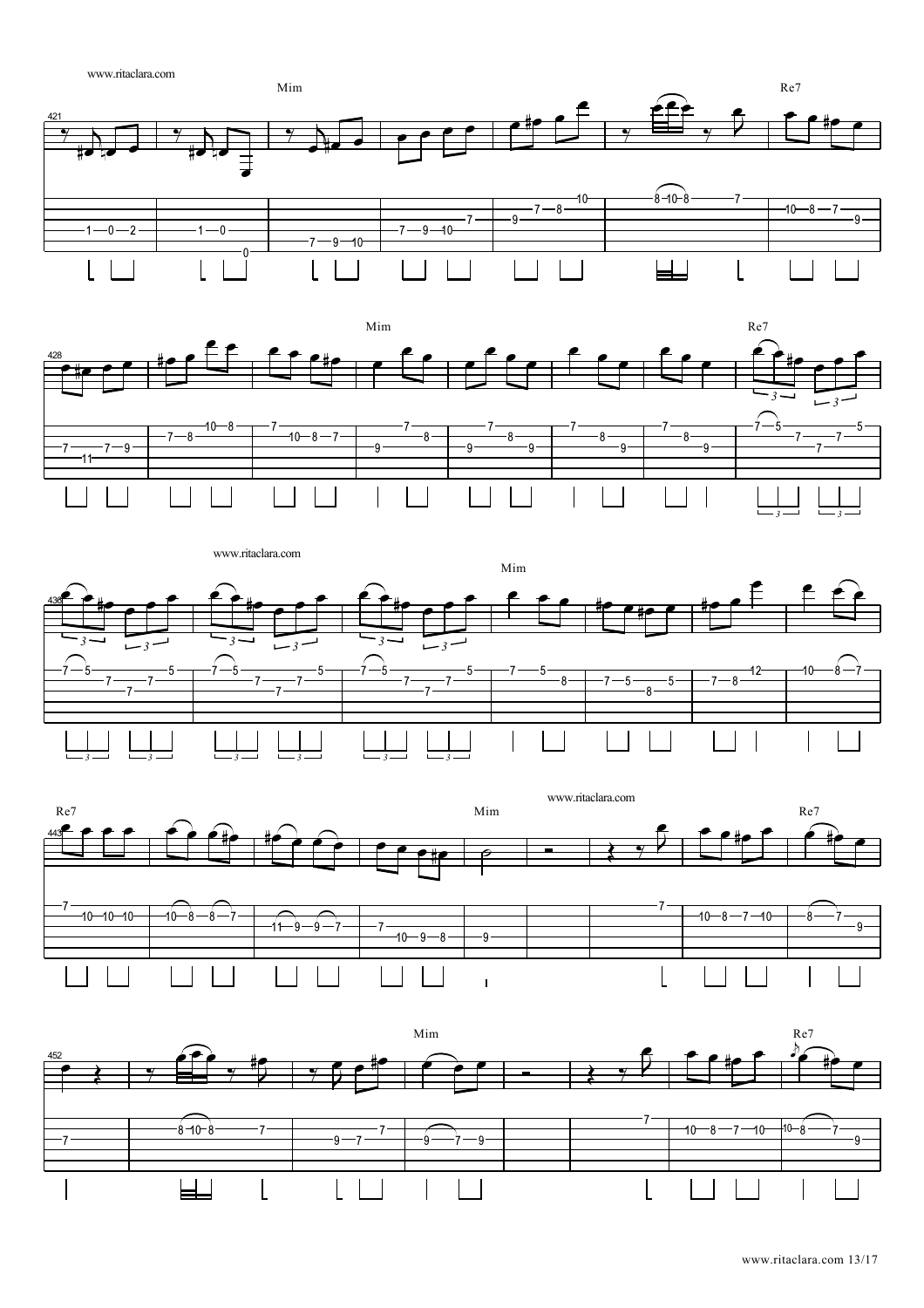







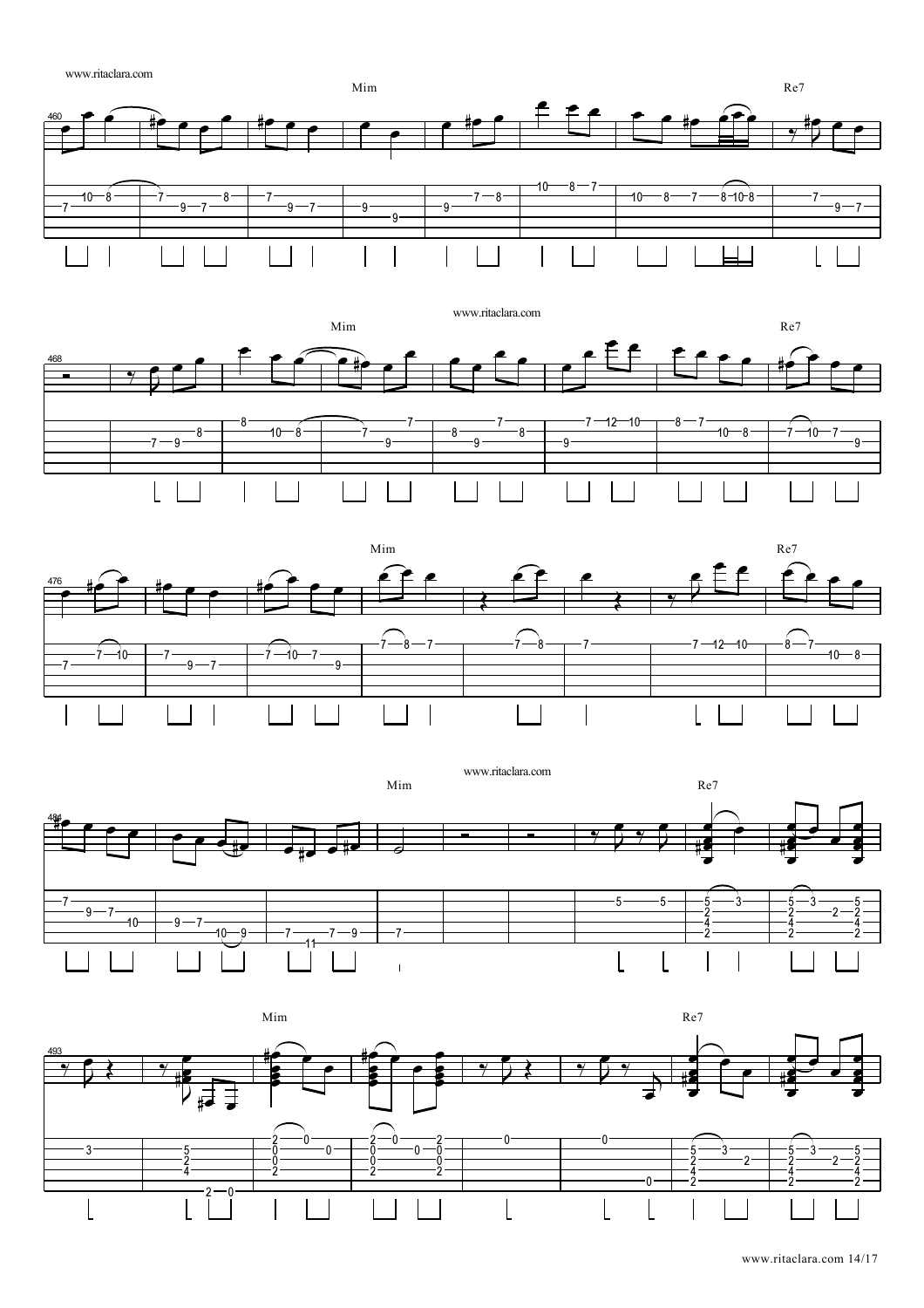www.ritaclara.com









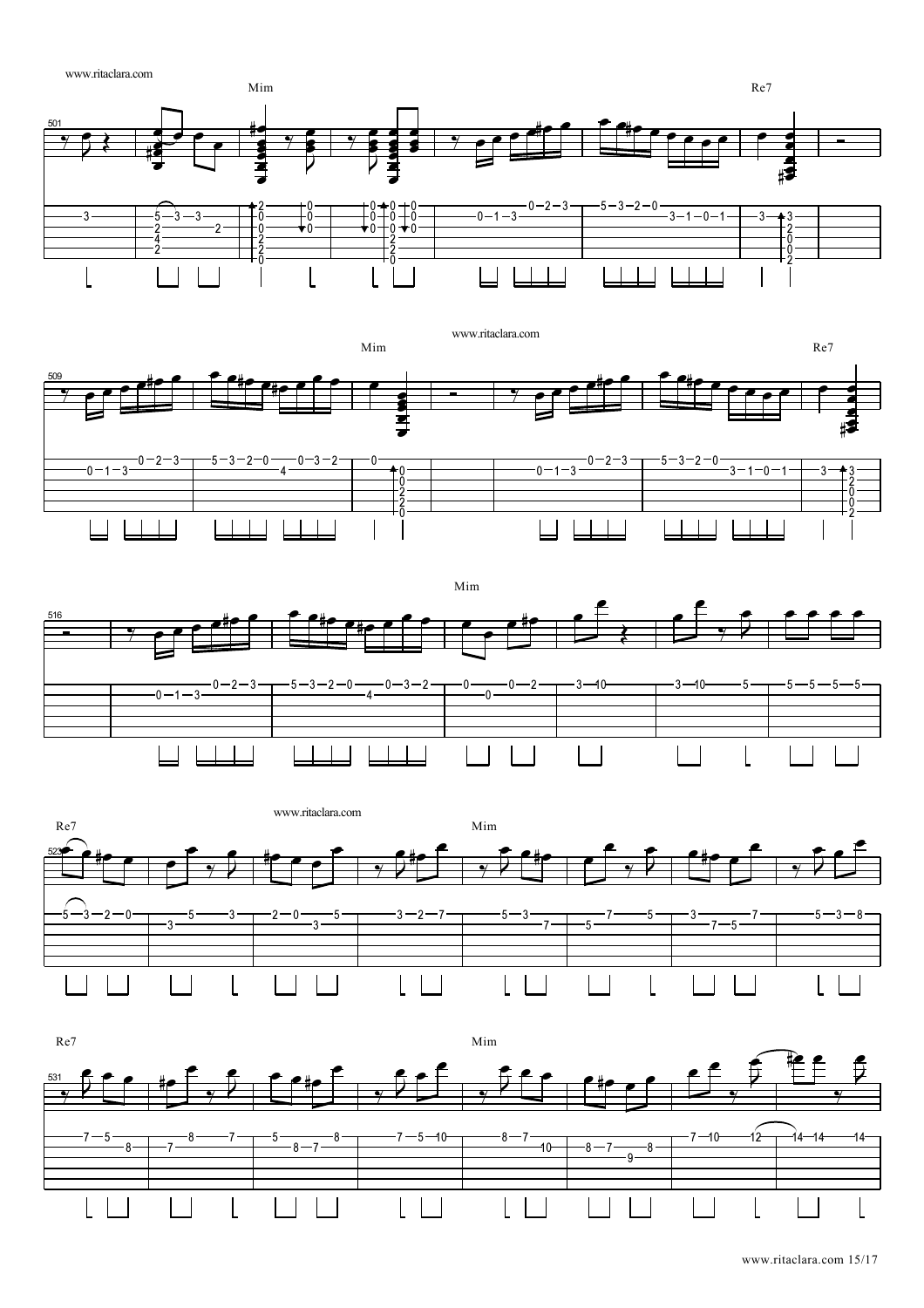www.ritaclara.com









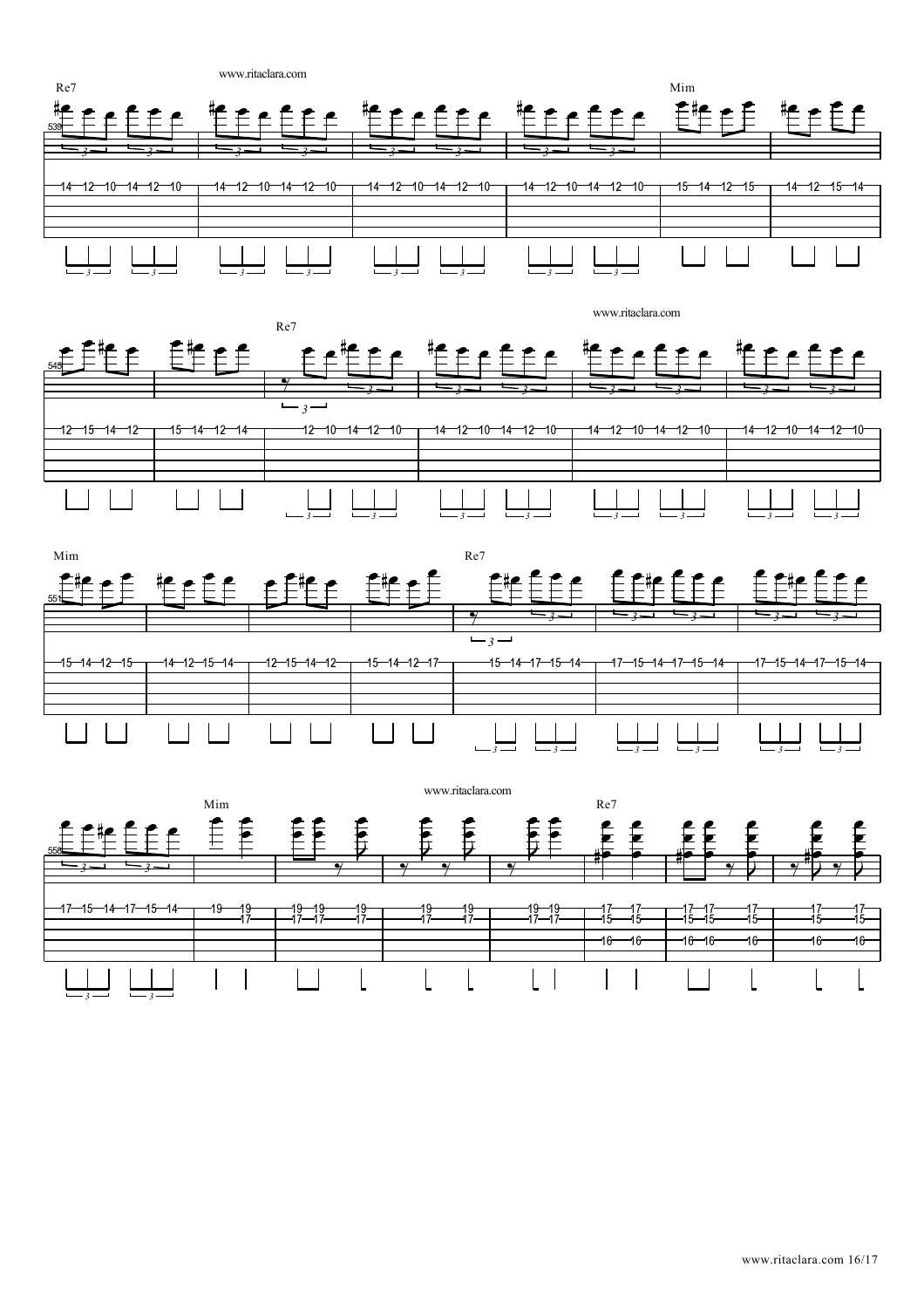